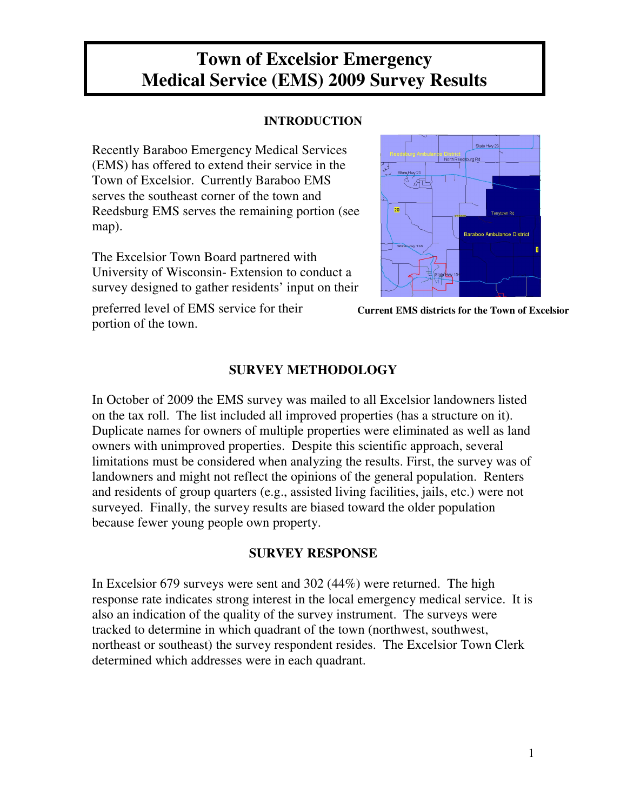# **Town of Excelsior Emergency Medical Service (EMS) 2009 Survey Results**

## **INTRODUCTION**

Recently Baraboo Emergency Medical Services (EMS) has offered to extend their service in the Town of Excelsior. Currently Baraboo EMS serves the southeast corner of the town and Reedsburg EMS serves the remaining portion (see map).

The Excelsior Town Board partnered with University of Wisconsin- Extension to conduct a survey designed to gather residents' input on their

preferred level of EMS service for their portion of the town.



**Current EMS districts for the Town of Excelsior**

## **SURVEY METHODOLOGY**

In October of 2009 the EMS survey was mailed to all Excelsior landowners listed on the tax roll. The list included all improved properties (has a structure on it). Duplicate names for owners of multiple properties were eliminated as well as land owners with unimproved properties. Despite this scientific approach, several limitations must be considered when analyzing the results. First, the survey was of landowners and might not reflect the opinions of the general population. Renters and residents of group quarters (e.g., assisted living facilities, jails, etc.) were not surveyed. Finally, the survey results are biased toward the older population because fewer young people own property.

## **SURVEY RESPONSE**

In Excelsior 679 surveys were sent and 302 (44%) were returned. The high response rate indicates strong interest in the local emergency medical service. It is also an indication of the quality of the survey instrument. The surveys were tracked to determine in which quadrant of the town (northwest, southwest, northeast or southeast) the survey respondent resides. The Excelsior Town Clerk determined which addresses were in each quadrant.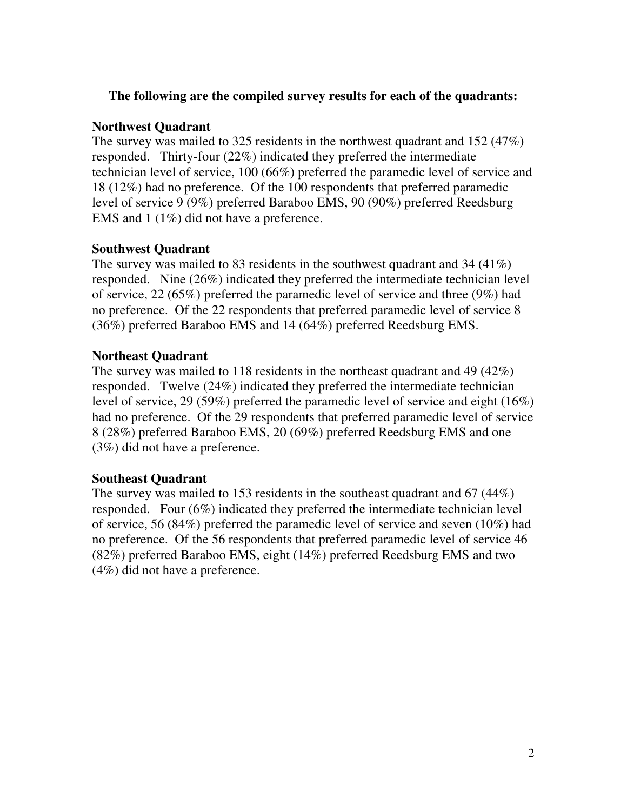### **The following are the compiled survey results for each of the quadrants:**

### **Northwest Quadrant**

The survey was mailed to 325 residents in the northwest quadrant and 152 (47%) responded. Thirty-four (22%) indicated they preferred the intermediate technician level of service, 100 (66%) preferred the paramedic level of service and 18 (12%) had no preference. Of the 100 respondents that preferred paramedic level of service 9 (9%) preferred Baraboo EMS, 90 (90%) preferred Reedsburg EMS and 1 (1%) did not have a preference.

## **Southwest Quadrant**

The survey was mailed to 83 residents in the southwest quadrant and 34 (41%) responded. Nine (26%) indicated they preferred the intermediate technician level of service, 22 (65%) preferred the paramedic level of service and three (9%) had no preference. Of the 22 respondents that preferred paramedic level of service 8 (36%) preferred Baraboo EMS and 14 (64%) preferred Reedsburg EMS.

## **Northeast Quadrant**

The survey was mailed to 118 residents in the northeast quadrant and 49 (42%) responded. Twelve (24%) indicated they preferred the intermediate technician level of service, 29 (59%) preferred the paramedic level of service and eight (16%) had no preference. Of the 29 respondents that preferred paramedic level of service 8 (28%) preferred Baraboo EMS, 20 (69%) preferred Reedsburg EMS and one (3%) did not have a preference.

## **Southeast Quadrant**

The survey was mailed to 153 residents in the southeast quadrant and 67 (44%) responded. Four (6%) indicated they preferred the intermediate technician level of service, 56 (84%) preferred the paramedic level of service and seven (10%) had no preference. Of the 56 respondents that preferred paramedic level of service 46 (82%) preferred Baraboo EMS, eight (14%) preferred Reedsburg EMS and two (4%) did not have a preference.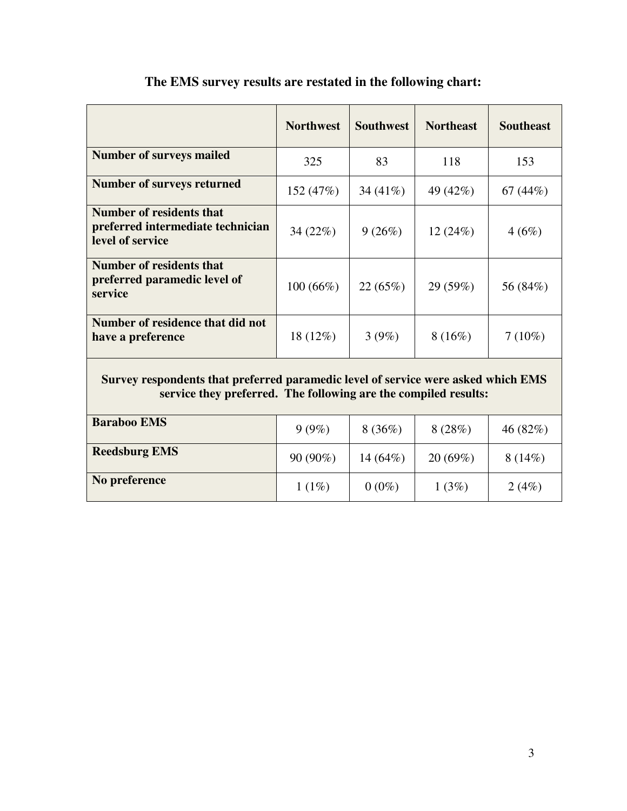|                                                                                                                                                      | <b>Northwest</b> | <b>Southwest</b> | <b>Northeast</b> | <b>Southeast</b> |
|------------------------------------------------------------------------------------------------------------------------------------------------------|------------------|------------------|------------------|------------------|
| <b>Number of surveys mailed</b>                                                                                                                      | 325              | 83               | 118              | 153              |
| <b>Number of surveys returned</b>                                                                                                                    | 152 (47%)        | 34 $(41\%)$      | 49 (42%)         | 67 $(44%)$       |
| <b>Number of residents that</b><br>preferred intermediate technician<br>level of service                                                             | 34(22%)          | 9(26%)           | 12(24%)          | 4(6%)            |
| <b>Number of residents that</b><br>preferred paramedic level of<br>service                                                                           | 100(66%)         | 22 (65%)         | 29 (59%)         | 56 (84%)         |
| Number of residence that did not<br>have a preference                                                                                                | $18(12\%)$       | 3(9%)            | 8(16%)           | $7(10\%)$        |
| Survey respondents that preferred paramedic level of service were asked which EMS<br>service they preferred. The following are the compiled results: |                  |                  |                  |                  |
| <b>Baraboo EMS</b>                                                                                                                                   | 9(9%)            | 8(36%)           | 8(28%)           | 46 $(82%)$       |
| <b>Reedsburg EMS</b>                                                                                                                                 | 90 (90%)         | $14(64\%)$       | 20(69%)          | 8(14%)           |

**No preference**

## **The EMS survey results are restated in the following chart:**

1 (1%)  $0 \ (0\%)$  1 (3%) 2 (4%)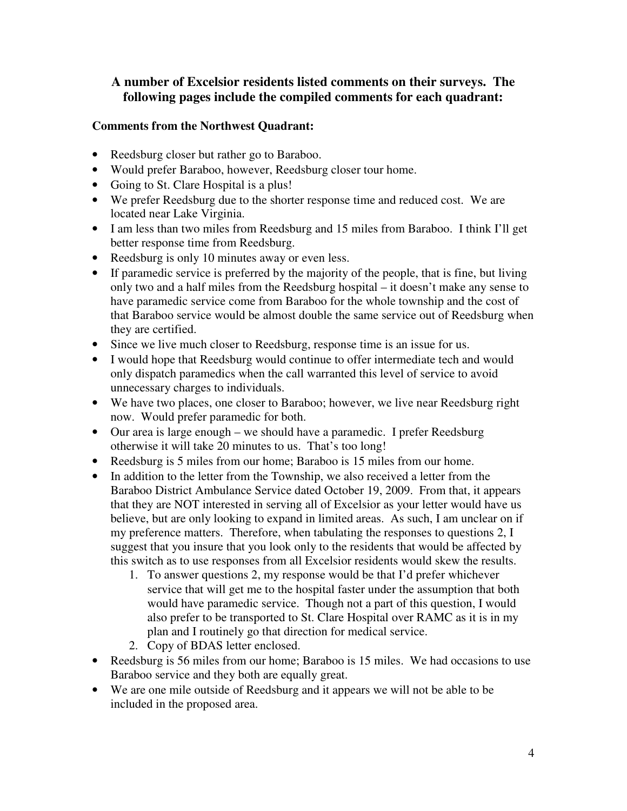## **A number of Excelsior residents listed comments on their surveys. The following pages include the compiled comments for each quadrant:**

#### **Comments from the Northwest Quadrant:**

- Reedsburg closer but rather go to Baraboo.
- Would prefer Baraboo, however, Reedsburg closer tour home.
- Going to St. Clare Hospital is a plus!
- We prefer Reedsburg due to the shorter response time and reduced cost. We are located near Lake Virginia.
- I am less than two miles from Reedsburg and 15 miles from Baraboo. I think I'll get better response time from Reedsburg.
- Reedsburg is only 10 minutes away or even less.
- If paramedic service is preferred by the majority of the people, that is fine, but living only two and a half miles from the Reedsburg hospital – it doesn't make any sense to have paramedic service come from Baraboo for the whole township and the cost of that Baraboo service would be almost double the same service out of Reedsburg when they are certified.
- Since we live much closer to Reedsburg, response time is an issue for us.
- I would hope that Reedsburg would continue to offer intermediate tech and would only dispatch paramedics when the call warranted this level of service to avoid unnecessary charges to individuals.
- We have two places, one closer to Baraboo; however, we live near Reedsburg right now. Would prefer paramedic for both.
- Our area is large enough we should have a paramedic. I prefer Reedsburg otherwise it will take 20 minutes to us. That's too long!
- Reedsburg is 5 miles from our home; Baraboo is 15 miles from our home.
- In addition to the letter from the Township, we also received a letter from the Baraboo District Ambulance Service dated October 19, 2009. From that, it appears that they are NOT interested in serving all of Excelsior as your letter would have us believe, but are only looking to expand in limited areas. As such, I am unclear on if my preference matters. Therefore, when tabulating the responses to questions 2, I suggest that you insure that you look only to the residents that would be affected by this switch as to use responses from all Excelsior residents would skew the results.
	- 1. To answer questions 2, my response would be that I'd prefer whichever service that will get me to the hospital faster under the assumption that both would have paramedic service. Though not a part of this question, I would also prefer to be transported to St. Clare Hospital over RAMC as it is in my plan and I routinely go that direction for medical service.
	- 2. Copy of BDAS letter enclosed.
- Reedsburg is 56 miles from our home; Baraboo is 15 miles. We had occasions to use Baraboo service and they both are equally great.
- We are one mile outside of Reedsburg and it appears we will not be able to be included in the proposed area.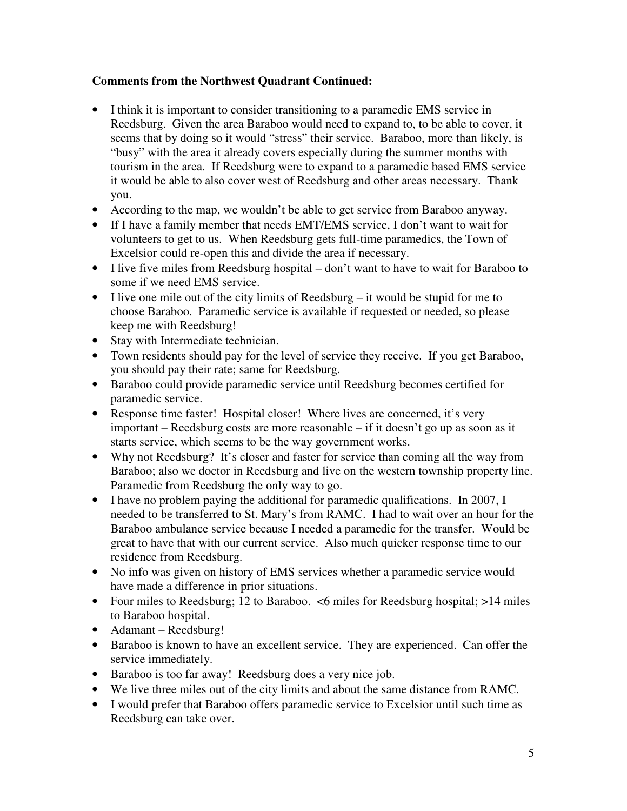#### **Comments from the Northwest Quadrant Continued:**

- I think it is important to consider transitioning to a paramedic EMS service in Reedsburg. Given the area Baraboo would need to expand to, to be able to cover, it seems that by doing so it would "stress" their service. Baraboo, more than likely, is "busy" with the area it already covers especially during the summer months with tourism in the area. If Reedsburg were to expand to a paramedic based EMS service it would be able to also cover west of Reedsburg and other areas necessary. Thank you.
- According to the map, we wouldn't be able to get service from Baraboo anyway.
- If I have a family member that needs EMT/EMS service, I don't want to wait for volunteers to get to us. When Reedsburg gets full-time paramedics, the Town of Excelsior could re-open this and divide the area if necessary.
- I live five miles from Reedsburg hospital don't want to have to wait for Baraboo to some if we need EMS service.
- I live one mile out of the city limits of Reedsburg it would be stupid for me to choose Baraboo. Paramedic service is available if requested or needed, so please keep me with Reedsburg!
- Stay with Intermediate technician.
- Town residents should pay for the level of service they receive. If you get Baraboo, you should pay their rate; same for Reedsburg.
- Baraboo could provide paramedic service until Reedsburg becomes certified for paramedic service.
- Response time faster! Hospital closer! Where lives are concerned, it's very important – Reedsburg costs are more reasonable – if it doesn't go up as soon as it starts service, which seems to be the way government works.
- Why not Reedsburg? It's closer and faster for service than coming all the way from Baraboo; also we doctor in Reedsburg and live on the western township property line. Paramedic from Reedsburg the only way to go.
- I have no problem paying the additional for paramedic qualifications. In 2007, I needed to be transferred to St. Mary's from RAMC. I had to wait over an hour for the Baraboo ambulance service because I needed a paramedic for the transfer. Would be great to have that with our current service. Also much quicker response time to our residence from Reedsburg.
- No info was given on history of EMS services whether a paramedic service would have made a difference in prior situations.
- Four miles to Reedsburg; 12 to Baraboo.  $\leq$ 6 miles for Reedsburg hospital; >14 miles to Baraboo hospital.
- Adamant Reedsburg!
- Baraboo is known to have an excellent service. They are experienced. Can offer the service immediately.
- Baraboo is too far away! Reedsburg does a very nice job.
- We live three miles out of the city limits and about the same distance from RAMC.
- I would prefer that Baraboo offers paramedic service to Excelsior until such time as Reedsburg can take over.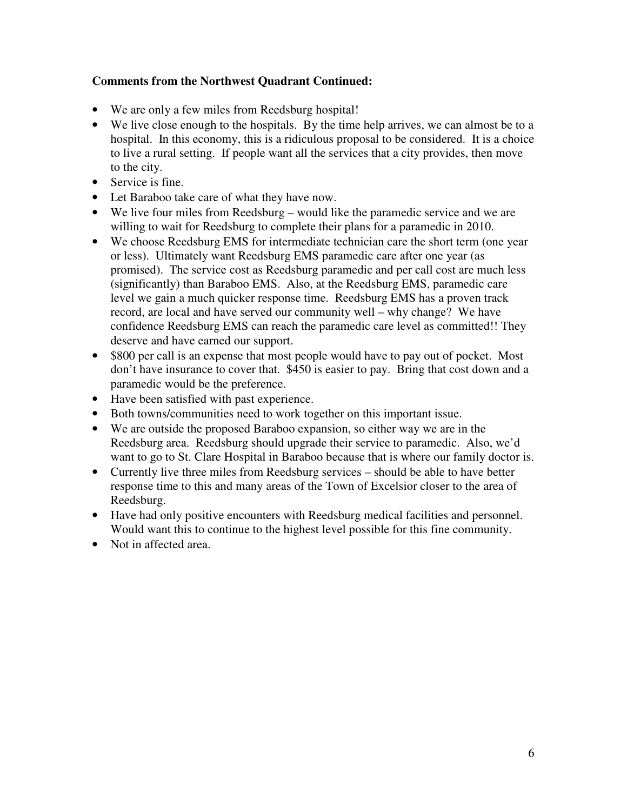#### **Comments from the Northwest Quadrant Continued:**

- We are only a few miles from Reedsburg hospital!
- We live close enough to the hospitals. By the time help arrives, we can almost be to a hospital. In this economy, this is a ridiculous proposal to be considered. It is a choice to live a rural setting. If people want all the services that a city provides, then move to the city.
- Service is fine.
- Let Baraboo take care of what they have now.
- We live four miles from Reedsburg would like the paramedic service and we are willing to wait for Reedsburg to complete their plans for a paramedic in 2010.
- We choose Reedsburg EMS for intermediate technician care the short term (one year or less). Ultimately want Reedsburg EMS paramedic care after one year (as promised). The service cost as Reedsburg paramedic and per call cost are much less (significantly) than Baraboo EMS. Also, at the Reedsburg EMS, paramedic care level we gain a much quicker response time. Reedsburg EMS has a proven track record, are local and have served our community well – why change? We have confidence Reedsburg EMS can reach the paramedic care level as committed!! They deserve and have earned our support.
- \$800 per call is an expense that most people would have to pay out of pocket. Most don't have insurance to cover that. \$450 is easier to pay. Bring that cost down and a paramedic would be the preference.
- Have been satisfied with past experience.
- Both towns/communities need to work together on this important issue.
- We are outside the proposed Baraboo expansion, so either way we are in the Reedsburg area. Reedsburg should upgrade their service to paramedic. Also, we'd want to go to St. Clare Hospital in Baraboo because that is where our family doctor is.
- Currently live three miles from Reedsburg services should be able to have better response time to this and many areas of the Town of Excelsior closer to the area of Reedsburg.
- Have had only positive encounters with Reedsburg medical facilities and personnel. Would want this to continue to the highest level possible for this fine community.
- Not in affected area.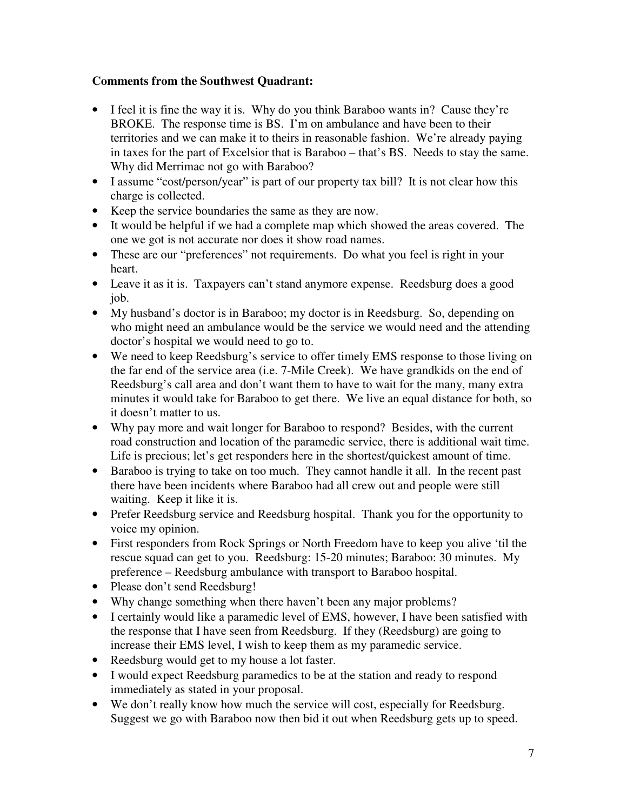#### **Comments from the Southwest Quadrant:**

- I feel it is fine the way it is. Why do you think Baraboo wants in? Cause they're BROKE. The response time is BS. I'm on ambulance and have been to their territories and we can make it to theirs in reasonable fashion. We're already paying in taxes for the part of Excelsior that is Baraboo – that's BS. Needs to stay the same. Why did Merrimac not go with Baraboo?
- I assume "cost/person/year" is part of our property tax bill? It is not clear how this charge is collected.
- Keep the service boundaries the same as they are now.
- It would be helpful if we had a complete map which showed the areas covered. The one we got is not accurate nor does it show road names.
- These are our "preferences" not requirements. Do what you feel is right in your heart.
- Leave it as it is. Taxpayers can't stand anymore expense. Reedsburg does a good job.
- My husband's doctor is in Baraboo; my doctor is in Reedsburg. So, depending on who might need an ambulance would be the service we would need and the attending doctor's hospital we would need to go to.
- We need to keep Reedsburg's service to offer timely EMS response to those living on the far end of the service area (i.e. 7-Mile Creek). We have grandkids on the end of Reedsburg's call area and don't want them to have to wait for the many, many extra minutes it would take for Baraboo to get there. We live an equal distance for both, so it doesn't matter to us.
- Why pay more and wait longer for Baraboo to respond? Besides, with the current road construction and location of the paramedic service, there is additional wait time. Life is precious; let's get responders here in the shortest/quickest amount of time.
- Baraboo is trying to take on too much. They cannot handle it all. In the recent past there have been incidents where Baraboo had all crew out and people were still waiting. Keep it like it is.
- Prefer Reedsburg service and Reedsburg hospital. Thank you for the opportunity to voice my opinion.
- First responders from Rock Springs or North Freedom have to keep you alive 'til the rescue squad can get to you. Reedsburg: 15-20 minutes; Baraboo: 30 minutes. My preference – Reedsburg ambulance with transport to Baraboo hospital.
- Please don't send Reedsburg!
- Why change something when there haven't been any major problems?
- I certainly would like a paramedic level of EMS, however, I have been satisfied with the response that I have seen from Reedsburg. If they (Reedsburg) are going to increase their EMS level, I wish to keep them as my paramedic service.
- Reedsburg would get to my house a lot faster.
- I would expect Reedsburg paramedics to be at the station and ready to respond immediately as stated in your proposal.
- We don't really know how much the service will cost, especially for Reedsburg. Suggest we go with Baraboo now then bid it out when Reedsburg gets up to speed.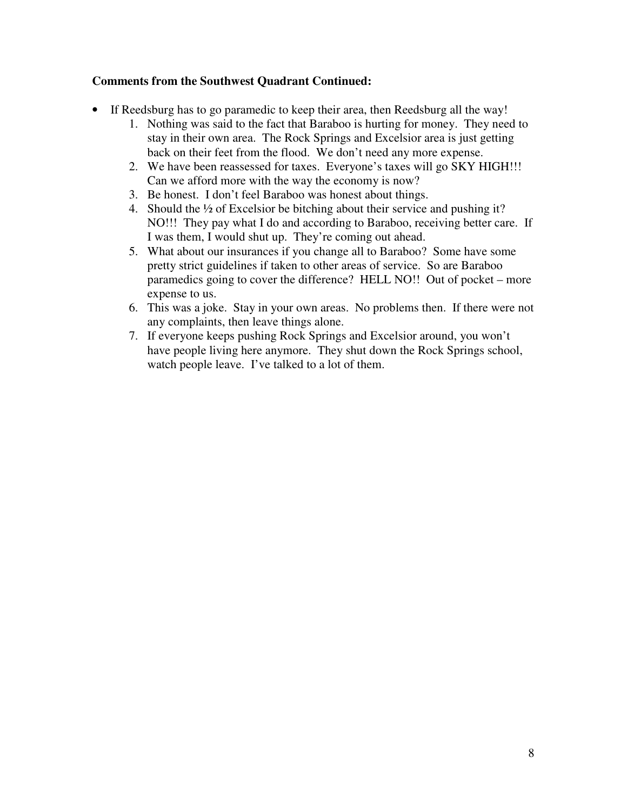#### **Comments from the Southwest Quadrant Continued:**

- If Reedsburg has to go paramedic to keep their area, then Reedsburg all the way!
	- 1. Nothing was said to the fact that Baraboo is hurting for money. They need to stay in their own area. The Rock Springs and Excelsior area is just getting back on their feet from the flood. We don't need any more expense.
	- 2. We have been reassessed for taxes. Everyone's taxes will go SKY HIGH!!! Can we afford more with the way the economy is now?
	- 3. Be honest. I don't feel Baraboo was honest about things.
	- 4. Should the ½ of Excelsior be bitching about their service and pushing it? NO!!! They pay what I do and according to Baraboo, receiving better care. If I was them, I would shut up. They're coming out ahead.
	- 5. What about our insurances if you change all to Baraboo? Some have some pretty strict guidelines if taken to other areas of service. So are Baraboo paramedics going to cover the difference? HELL NO!! Out of pocket – more expense to us.
	- 6. This was a joke. Stay in your own areas. No problems then. If there were not any complaints, then leave things alone.
	- 7. If everyone keeps pushing Rock Springs and Excelsior around, you won't have people living here anymore. They shut down the Rock Springs school, watch people leave. I've talked to a lot of them.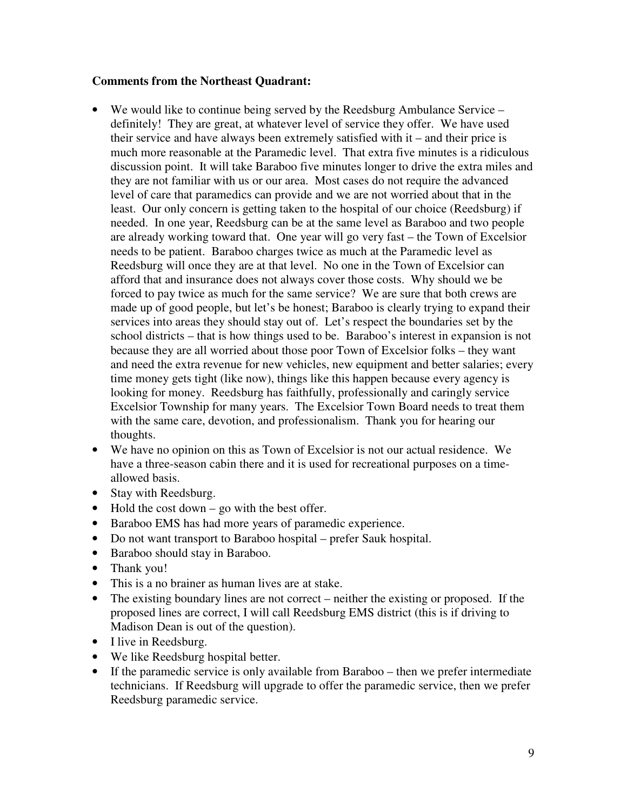#### **Comments from the Northeast Quadrant:**

- We would like to continue being served by the Reedsburg Ambulance Service definitely! They are great, at whatever level of service they offer. We have used their service and have always been extremely satisfied with it – and their price is much more reasonable at the Paramedic level. That extra five minutes is a ridiculous discussion point. It will take Baraboo five minutes longer to drive the extra miles and they are not familiar with us or our area. Most cases do not require the advanced level of care that paramedics can provide and we are not worried about that in the least. Our only concern is getting taken to the hospital of our choice (Reedsburg) if needed. In one year, Reedsburg can be at the same level as Baraboo and two people are already working toward that. One year will go very fast – the Town of Excelsior needs to be patient. Baraboo charges twice as much at the Paramedic level as Reedsburg will once they are at that level. No one in the Town of Excelsior can afford that and insurance does not always cover those costs. Why should we be forced to pay twice as much for the same service? We are sure that both crews are made up of good people, but let's be honest; Baraboo is clearly trying to expand their services into areas they should stay out of. Let's respect the boundaries set by the school districts – that is how things used to be. Baraboo's interest in expansion is not because they are all worried about those poor Town of Excelsior folks – they want and need the extra revenue for new vehicles, new equipment and better salaries; every time money gets tight (like now), things like this happen because every agency is looking for money. Reedsburg has faithfully, professionally and caringly service Excelsior Township for many years. The Excelsior Town Board needs to treat them with the same care, devotion, and professionalism. Thank you for hearing our thoughts.
- We have no opinion on this as Town of Excelsior is not our actual residence. We have a three-season cabin there and it is used for recreational purposes on a timeallowed basis.
- Stay with Reedsburg.
- Hold the cost down go with the best offer.
- Baraboo EMS has had more years of paramedic experience.
- Do not want transport to Baraboo hospital prefer Sauk hospital.
- Baraboo should stay in Baraboo.
- Thank you!
- This is a no brainer as human lives are at stake.
- The existing boundary lines are not correct neither the existing or proposed. If the proposed lines are correct, I will call Reedsburg EMS district (this is if driving to Madison Dean is out of the question).
- I live in Reedsburg.
- We like Reedsburg hospital better.
- If the paramedic service is only available from Baraboo then we prefer intermediate technicians. If Reedsburg will upgrade to offer the paramedic service, then we prefer Reedsburg paramedic service.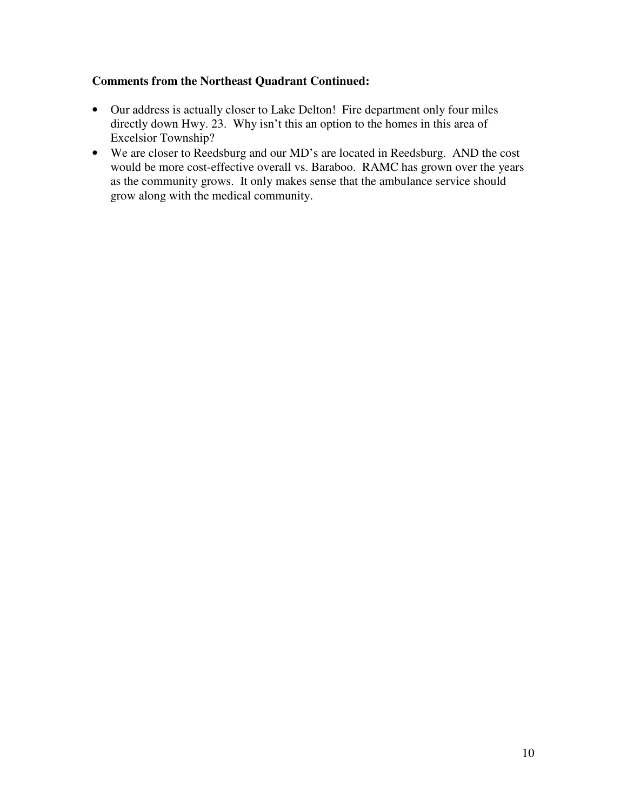#### **Comments from the Northeast Quadrant Continued:**

- Our address is actually closer to Lake Delton! Fire department only four miles directly down Hwy. 23. Why isn't this an option to the homes in this area of Excelsior Township?
- We are closer to Reedsburg and our MD's are located in Reedsburg. AND the cost would be more cost-effective overall vs. Baraboo. RAMC has grown over the years as the community grows. It only makes sense that the ambulance service should grow along with the medical community.